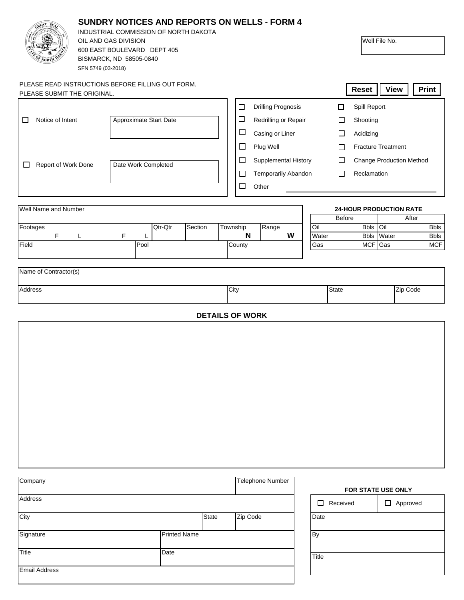| <b>SUNDRY NOTICES AND REPORTS ON WELLS - FORM 4</b><br>INDUSTRIAL COMMISSION OF NORTH DAKOTA<br>OIL AND GAS DIVISION<br>600 EAST BOULEVARD DEPT 405<br>BISMARCK, ND 58505-0840<br>SFN 5749 (03-2018) |                                                   |                    |              |                                                                                                                                       | Well File No. |                                                   |                           |              |  |
|------------------------------------------------------------------------------------------------------------------------------------------------------------------------------------------------------|---------------------------------------------------|--------------------|--------------|---------------------------------------------------------------------------------------------------------------------------------------|---------------|---------------------------------------------------|---------------------------|--------------|--|
| PLEASE SUBMIT THE ORIGINAL.                                                                                                                                                                          | PLEASE READ INSTRUCTIONS BEFORE FILLING OUT FORM. |                    |              |                                                                                                                                       |               | Reset                                             | <b>View</b>               | <b>Print</b> |  |
|                                                                                                                                                                                                      |                                                   |                    |              | <b>Drilling Prognosis</b><br>□                                                                                                        |               | Spill Report<br>$\Box$                            |                           |              |  |
| Notice of Intent<br>Approximate Start Date<br>ப                                                                                                                                                      |                                                   |                    |              | □<br>Redrilling or Repair                                                                                                             |               | □<br>Shooting                                     |                           |              |  |
|                                                                                                                                                                                                      |                                                   |                    |              | $\Box$<br>Casing or Liner                                                                                                             |               | □<br>Acidizing                                    |                           |              |  |
|                                                                                                                                                                                                      |                                                   |                    |              | $\Box$<br>Plug Well                                                                                                                   |               | $\Box$                                            | <b>Fracture Treatment</b> |              |  |
| Date Work Completed<br>Report of Work Done<br>□                                                                                                                                                      |                                                   |                    |              | $\Box$<br>Supplemental History<br>$\Box$<br><b>Change Production Method</b><br>Temporarily Abandon<br>Reclamation<br>$\Box$<br>$\Box$ |               |                                                   |                           |              |  |
|                                                                                                                                                                                                      |                                                   |                    |              | □<br>Other                                                                                                                            |               |                                                   |                           |              |  |
|                                                                                                                                                                                                      |                                                   |                    |              |                                                                                                                                       |               |                                                   |                           |              |  |
| Well Name and Number                                                                                                                                                                                 |                                                   |                    |              |                                                                                                                                       |               | <b>24-HOUR PRODUCTION RATE</b><br>Before<br>After |                           |              |  |
| Footages                                                                                                                                                                                             |                                                   | Qtr-Qtr<br>Section | Township     | Range                                                                                                                                 | Oil           | <b>Bbls</b>                                       | Oil                       | <b>Bbls</b>  |  |
| F.                                                                                                                                                                                                   | F<br>L<br>L                                       |                    |              | N<br>W                                                                                                                                | Water         | <b>Bbls</b>                                       | Water                     | <b>Bbls</b>  |  |
| Field                                                                                                                                                                                                | Pool                                              |                    |              | County                                                                                                                                | Gas           |                                                   | MCF Gas                   | MCF          |  |
| Name of Contractor(s)<br>Address                                                                                                                                                                     |                                                   |                    |              | City<br><b>DETAILS OF WORK</b>                                                                                                        |               | <b>State</b>                                      | Zip Code                  |              |  |
| Company<br><b>Telephone Number</b>                                                                                                                                                                   |                                                   |                    |              |                                                                                                                                       |               |                                                   | FOR STATE USE ONLY        |              |  |
| Address                                                                                                                                                                                              |                                                   |                    |              |                                                                                                                                       |               | $\Box$ Received                                   | $\Box$ Approved           |              |  |
| City                                                                                                                                                                                                 |                                                   |                    | <b>State</b> | Zip Code                                                                                                                              | Date          |                                                   |                           |              |  |
| <b>Printed Name</b><br>Signature                                                                                                                                                                     |                                                   |                    |              | By                                                                                                                                    |               |                                                   |                           |              |  |
| Title                                                                                                                                                                                                |                                                   | Date               |              |                                                                                                                                       | Title         |                                                   |                           |              |  |
| <b>Email Address</b>                                                                                                                                                                                 |                                                   |                    |              |                                                                                                                                       |               |                                                   |                           |              |  |